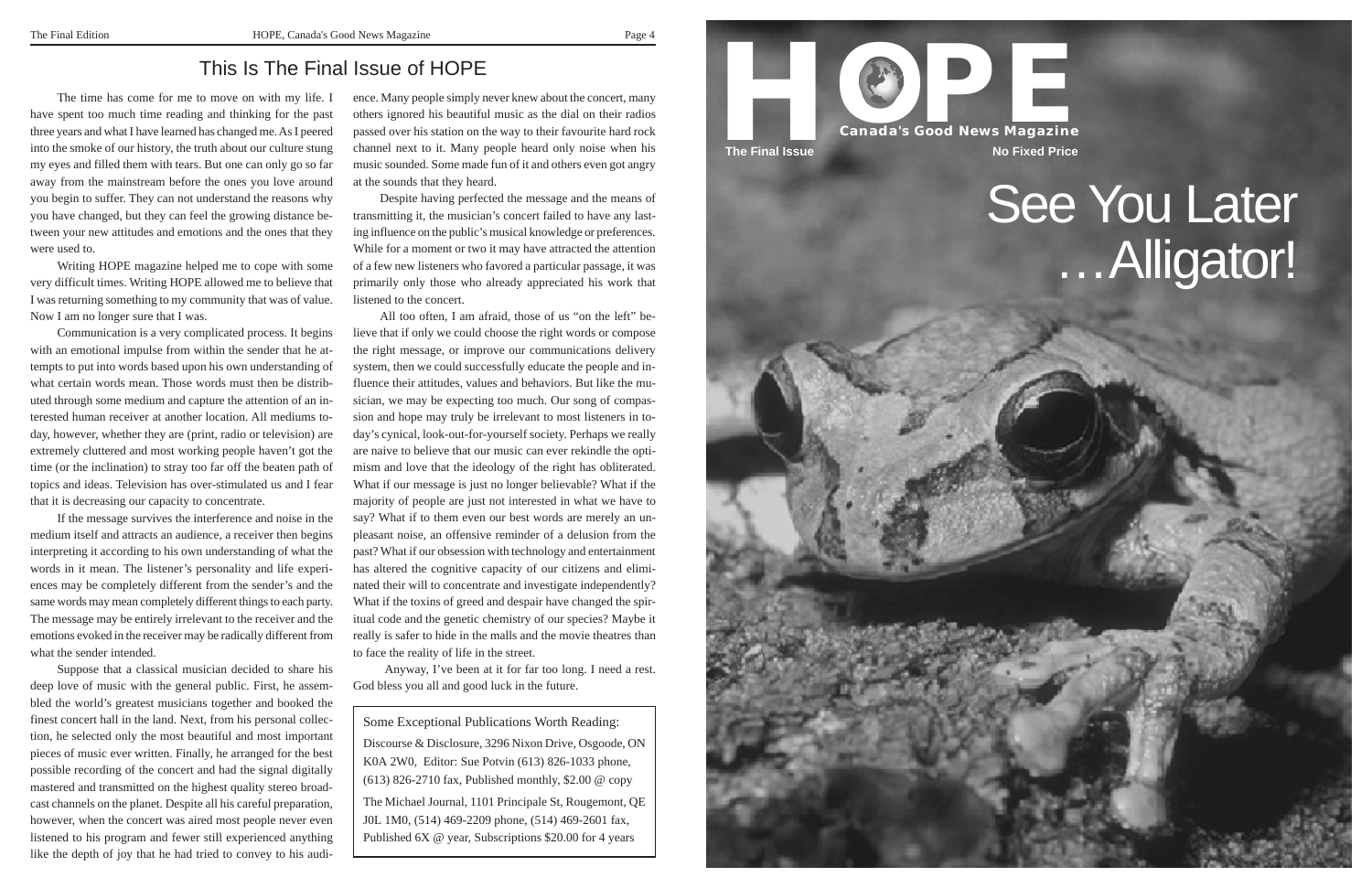The time has come for me to move on with my life. I have spent too much time reading and thinking for the past three years and what I have learned has changed me. As I peered into the smoke of our history, the truth about our culture stung my eyes and filled them with tears. But one can only go so far away from the mainstream before the ones you love around you begin to suffer. They can not understand the reasons why you have changed, but they can feel the growing distance between your new attitudes and emotions and the ones that they were used to.

Writing HOPE magazine helped me to cope with some very difficult times. Writing HOPE allowed me to believe that I was returning something to my community that was of value. Now I am no longer sure that I was.

Communication is a very complicated process. It begins with an emotional impulse from within the sender that he attempts to put into words based upon his own understanding of what certain words mean. Those words must then be distributed through some medium and capture the attention of an interested human receiver at another location. All mediums today, however, whether they are (print, radio or television) are extremely cluttered and most working people haven't got the time (or the inclination) to stray too far off the beaten path of topics and ideas. Television has over-stimulated us and I fear that it is decreasing our capacity to concentrate.

If the message survives the interference and noise in the medium itself and attracts an audience, a receiver then begins interpreting it according to his own understanding of what the words in it mean. The listener's personality and life experiences may be completely different from the sender's and the same words may mean completely different things to each party. The message may be entirely irrelevant to the receiver and the emotions evoked in the receiver may be radically different from what the sender intended.

Suppose that a classical musician decided to share his deep love of music with the general public. First, he assembled the world's greatest musicians together and booked the finest concert hall in the land. Next, from his personal collection, he selected only the most beautiful and most important pieces of music ever written. Finally, he arranged for the best possible recording of the concert and had the signal digitally mastered and transmitted on the highest quality stereo broadcast channels on the planet. Despite all his careful preparation, however, when the concert was aired most people never even listened to his program and fewer still experienced anything like the depth of joy that he had tried to convey to his audi-



## See You Later …Alligator!

ence. Many people simply never knew about the concert, many others ignored his beautiful music as the dial on their radios passed over his station on the way to their favourite hard rock channel next to it. Many people heard only noise when his music sounded. Some made fun of it and others even got angry at the sounds that they heard.

Despite having perfected the message and the means of transmitting it, the musician's concert failed to have any last ing influence on the public's musical knowledge or preferences. While for a moment or two it may have attracted the attention of a few new listeners who favored a particular passage, it was primarily only those who already appreciated his work that listened to the concert.

All too often, I am afraid, those of us "on the left" be lieve that if only we could choose the right words or compose the right message, or improve our communications delivery system, then we could successfully educate the people and in fluence their attitudes, values and behaviors. But like the mu sician, we may be expecting too much. Our song of compas sion and hope may truly be irrelevant to most listeners in to day's cynical, look-out-for-yourself society. Perhaps we really are naive to believe that our music can ever rekindle the opti mism and love that the ideology of the right has obliterated. What if our message is just no longer believable? What if the majority of people are just not interested in what we have to say? What if to them even our best words are merely an un pleasant noise, an offensive reminder of a delusion from the past? What if our obsession with technology and entertainment has altered the cognitive capacity of our citizens and elimi nated their will to concentrate and investigate independently? What if the toxins of greed and despair have changed the spir itual code and the genetic chemistry of our species? Maybe it really is safer to hide in the malls and the movie theatres than to face the reality of life in the street.

Anyway, I've been at it for far too long. I need a rest. God bless you all and good luck in the future.

## This Is The Final Issue of HOPE

Some Exceptional Publications Worth Reading: Discourse & Disclosure, 3296 Nixon Drive, Osgoode, ON K0A 2W0, Editor: Sue Potvin (613) 826-1033 phone, (613) 826-2710 fax, Published monthly, \$2.00 @ copy The Michael Journal, 1101 Principale St, Rougemont, QE J0L 1M0, (514) 469-2209 phone, (514) 469-2601 fax, Published 6X @ year, Subscriptions \$20.00 for 4 years